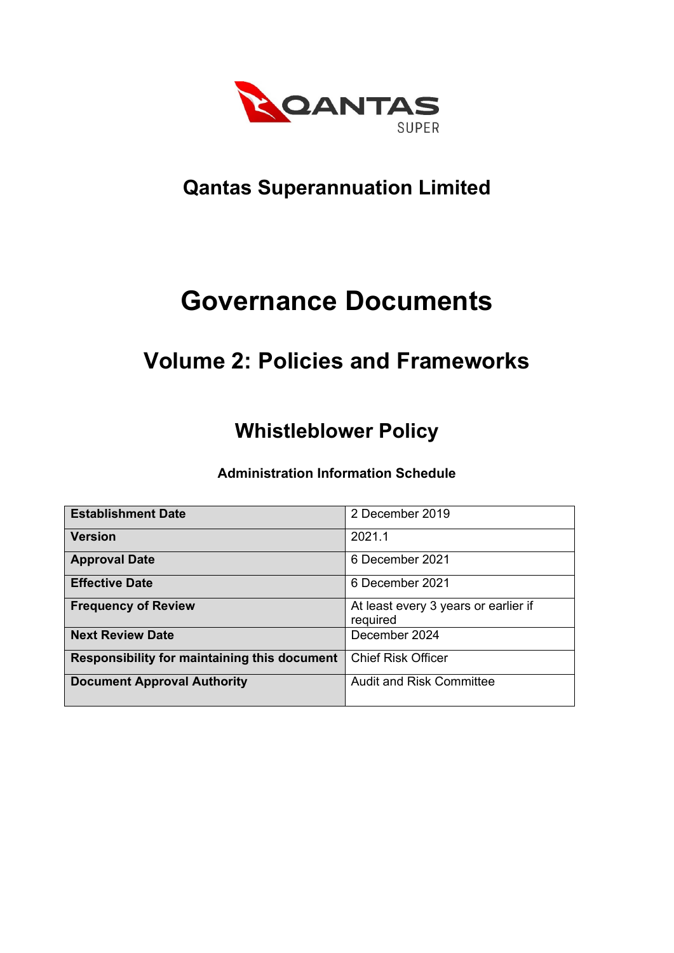

# **Qantas Superannuation Limited**

# **Governance Documents**

# **Volume 2: Policies and Frameworks**

# **Whistleblower Policy**

**Administration Information Schedule**

| <b>Establishment Date</b>                    | 2 December 2019                      |
|----------------------------------------------|--------------------------------------|
|                                              |                                      |
| <b>Version</b>                               | 2021.1                               |
|                                              |                                      |
| <b>Approval Date</b>                         | 6 December 2021                      |
|                                              |                                      |
| <b>Effective Date</b>                        | 6 December 2021                      |
|                                              |                                      |
| <b>Frequency of Review</b>                   | At least every 3 years or earlier if |
|                                              |                                      |
|                                              | required                             |
| <b>Next Review Date</b>                      | December 2024                        |
|                                              |                                      |
| Responsibility for maintaining this document | <b>Chief Risk Officer</b>            |
|                                              |                                      |
|                                              |                                      |
| <b>Document Approval Authority</b>           | <b>Audit and Risk Committee</b>      |
|                                              |                                      |
|                                              |                                      |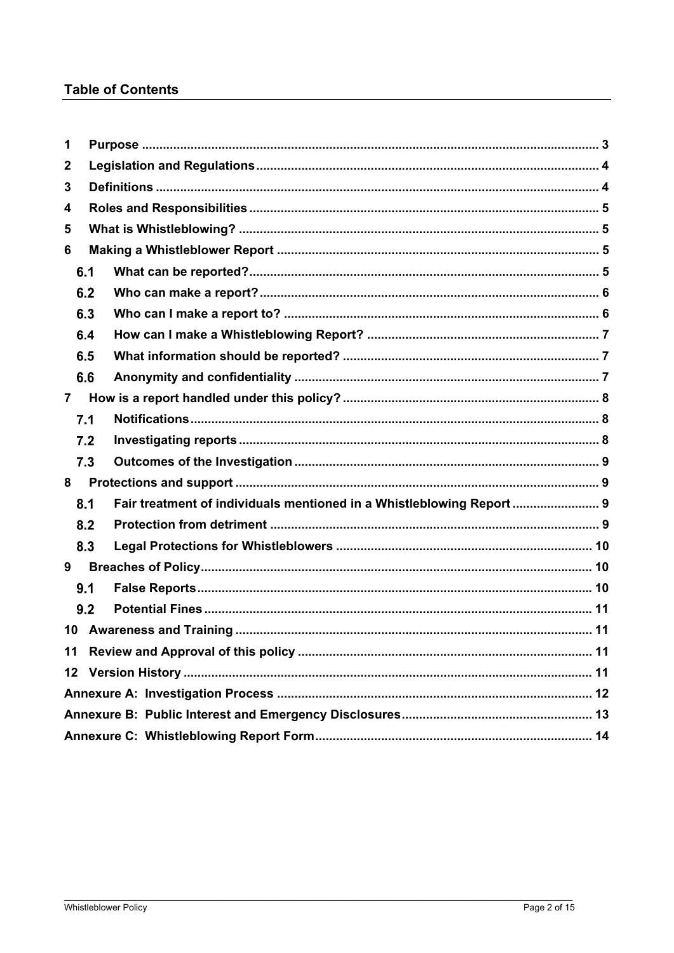# **Table of Contents**

| 1                |     |                                                                       |  |  |
|------------------|-----|-----------------------------------------------------------------------|--|--|
| $\boldsymbol{2}$ |     |                                                                       |  |  |
| 3                |     |                                                                       |  |  |
| 4                |     |                                                                       |  |  |
| 5                |     |                                                                       |  |  |
| 6                |     |                                                                       |  |  |
|                  | 6.1 |                                                                       |  |  |
|                  | 6.2 |                                                                       |  |  |
|                  | 6.3 |                                                                       |  |  |
|                  | 6.4 |                                                                       |  |  |
|                  | 6.5 |                                                                       |  |  |
|                  | 6.6 |                                                                       |  |  |
| $\overline{7}$   |     |                                                                       |  |  |
|                  | 7.1 |                                                                       |  |  |
|                  | 7.2 |                                                                       |  |  |
|                  | 7.3 |                                                                       |  |  |
| 8                |     |                                                                       |  |  |
|                  | 8.1 | Fair treatment of individuals mentioned in a Whistleblowing Report  9 |  |  |
|                  | 8.2 |                                                                       |  |  |
|                  | 8.3 |                                                                       |  |  |
| 9                |     |                                                                       |  |  |
|                  | 9.1 |                                                                       |  |  |
|                  | 9.2 |                                                                       |  |  |
|                  | 10  |                                                                       |  |  |
|                  | 11  |                                                                       |  |  |
| 12               |     |                                                                       |  |  |
|                  |     |                                                                       |  |  |
|                  |     |                                                                       |  |  |
|                  |     |                                                                       |  |  |
|                  |     |                                                                       |  |  |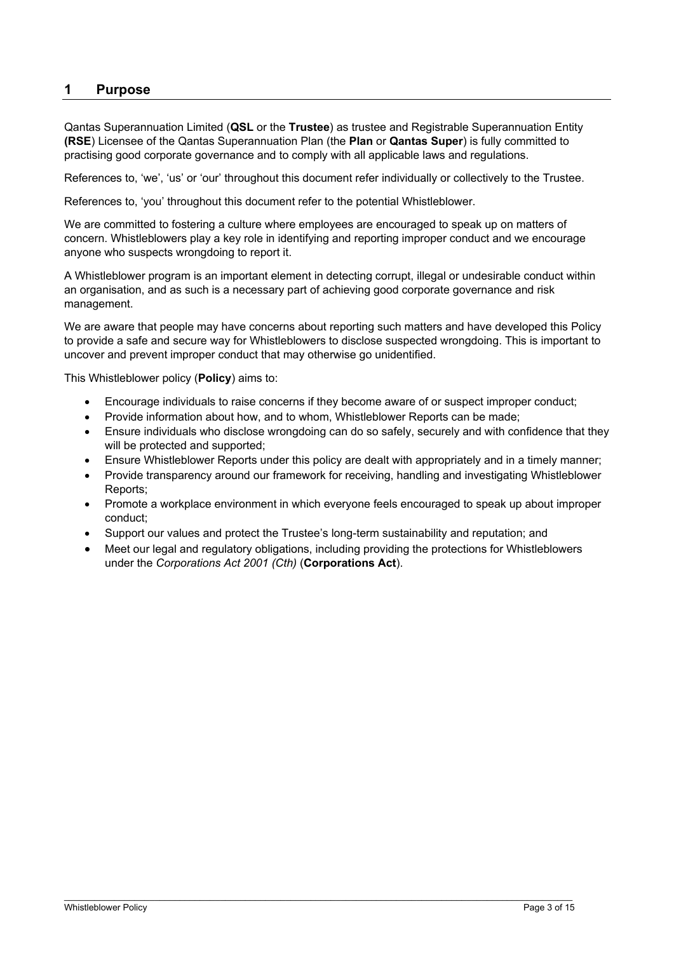### **1 Purpose**

Qantas Superannuation Limited (**QSL** or the **Trustee**) as trustee and Registrable Superannuation Entity **(RSE**) Licensee of the Qantas Superannuation Plan (the **Plan** or **Qantas Super**) is fully committed to practising good corporate governance and to comply with all applicable laws and regulations.

References to, 'we', 'us' or 'our' throughout this document refer individually or collectively to the Trustee.

References to, 'you' throughout this document refer to the potential Whistleblower.

We are committed to fostering a culture where employees are encouraged to speak up on matters of concern. Whistleblowers play a key role in identifying and reporting improper conduct and we encourage anyone who suspects wrongdoing to report it.

A Whistleblower program is an important element in detecting corrupt, illegal or undesirable conduct within an organisation, and as such is a necessary part of achieving good corporate governance and risk management.

We are aware that people may have concerns about reporting such matters and have developed this Policy to provide a safe and secure way for Whistleblowers to disclose suspected wrongdoing. This is important to uncover and prevent improper conduct that may otherwise go unidentified.

This Whistleblower policy (**Policy**) aims to:

- Encourage individuals to raise concerns if they become aware of or suspect improper conduct;
- Provide information about how, and to whom, Whistleblower Reports can be made;
- Ensure individuals who disclose wrongdoing can do so safely, securely and with confidence that they will be protected and supported;
- Ensure Whistleblower Reports under this policy are dealt with appropriately and in a timely manner;
- Provide transparency around our framework for receiving, handling and investigating Whistleblower Reports;
- Promote a workplace environment in which everyone feels encouraged to speak up about improper conduct;
- Support our values and protect the Trustee's long-term sustainability and reputation; and

\_\_\_\_\_\_\_\_\_\_\_\_\_\_\_\_\_\_\_\_\_\_\_\_\_\_\_\_\_\_\_\_\_\_\_\_\_\_\_\_\_\_\_\_\_\_\_\_\_\_\_\_\_\_\_\_\_\_\_\_\_\_\_\_\_\_\_\_\_\_\_\_\_\_\_\_\_\_\_\_\_\_\_\_\_\_\_\_\_\_\_\_\_\_\_\_\_\_\_\_\_

 Meet our legal and regulatory obligations, including providing the protections for Whistleblowers under the *Corporations Act 2001 (Cth)* (**Corporations Act**).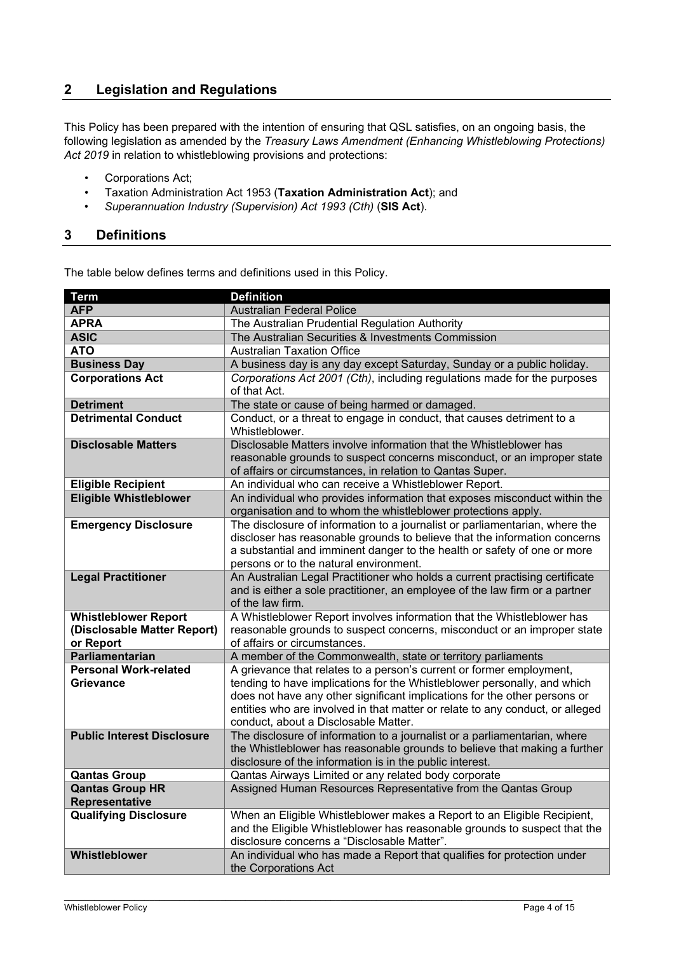# **2 Legislation and Regulations**

This Policy has been prepared with the intention of ensuring that QSL satisfies, on an ongoing basis, the following legislation as amended by the *Treasury Laws Amendment (Enhancing Whistleblowing Protections) Act 2019* in relation to whistleblowing provisions and protections:

- Corporations Act;
- Taxation Administration Act 1953 (**Taxation Administration Act**); and
- *Superannuation Industry (Supervision) Act 1993 (Cth)* (**SIS Act**).

#### **3 Definitions**

The table below defines terms and definitions used in this Policy.

| <b>Term</b>                                                             | <b>Definition</b>                                                                                                                                                                                                                                                                                                                                      |
|-------------------------------------------------------------------------|--------------------------------------------------------------------------------------------------------------------------------------------------------------------------------------------------------------------------------------------------------------------------------------------------------------------------------------------------------|
| <b>AFP</b>                                                              | <b>Australian Federal Police</b>                                                                                                                                                                                                                                                                                                                       |
| <b>APRA</b>                                                             | The Australian Prudential Regulation Authority                                                                                                                                                                                                                                                                                                         |
| <b>ASIC</b>                                                             | The Australian Securities & Investments Commission                                                                                                                                                                                                                                                                                                     |
| <b>ATO</b>                                                              | <b>Australian Taxation Office</b>                                                                                                                                                                                                                                                                                                                      |
| <b>Business Day</b>                                                     | A business day is any day except Saturday, Sunday or a public holiday.                                                                                                                                                                                                                                                                                 |
| <b>Corporations Act</b>                                                 | Corporations Act 2001 (Cth), including regulations made for the purposes<br>of that Act.                                                                                                                                                                                                                                                               |
| <b>Detriment</b>                                                        | The state or cause of being harmed or damaged.                                                                                                                                                                                                                                                                                                         |
| <b>Detrimental Conduct</b>                                              | Conduct, or a threat to engage in conduct, that causes detriment to a<br>Whistleblower.                                                                                                                                                                                                                                                                |
| <b>Disclosable Matters</b>                                              | Disclosable Matters involve information that the Whistleblower has<br>reasonable grounds to suspect concerns misconduct, or an improper state<br>of affairs or circumstances, in relation to Qantas Super.                                                                                                                                             |
| <b>Eligible Recipient</b>                                               | An individual who can receive a Whistleblower Report.                                                                                                                                                                                                                                                                                                  |
| <b>Eligible Whistleblower</b>                                           | An individual who provides information that exposes misconduct within the<br>organisation and to whom the whistleblower protections apply.                                                                                                                                                                                                             |
| <b>Emergency Disclosure</b>                                             | The disclosure of information to a journalist or parliamentarian, where the<br>discloser has reasonable grounds to believe that the information concerns<br>a substantial and imminent danger to the health or safety of one or more<br>persons or to the natural environment.                                                                         |
| <b>Legal Practitioner</b>                                               | An Australian Legal Practitioner who holds a current practising certificate<br>and is either a sole practitioner, an employee of the law firm or a partner<br>of the law firm.                                                                                                                                                                         |
| <b>Whistleblower Report</b><br>(Disclosable Matter Report)<br>or Report | A Whistleblower Report involves information that the Whistleblower has<br>reasonable grounds to suspect concerns, misconduct or an improper state<br>of affairs or circumstances.                                                                                                                                                                      |
| Parliamentarian                                                         | A member of the Commonwealth, state or territory parliaments                                                                                                                                                                                                                                                                                           |
| <b>Personal Work-related</b><br>Grievance                               | A grievance that relates to a person's current or former employment,<br>tending to have implications for the Whistleblower personally, and which<br>does not have any other significant implications for the other persons or<br>entities who are involved in that matter or relate to any conduct, or alleged<br>conduct, about a Disclosable Matter. |
| <b>Public Interest Disclosure</b>                                       | The disclosure of information to a journalist or a parliamentarian, where<br>the Whistleblower has reasonable grounds to believe that making a further<br>disclosure of the information is in the public interest.                                                                                                                                     |
| <b>Qantas Group</b>                                                     | Qantas Airways Limited or any related body corporate                                                                                                                                                                                                                                                                                                   |
| <b>Qantas Group HR</b><br>Representative                                | Assigned Human Resources Representative from the Qantas Group                                                                                                                                                                                                                                                                                          |
| <b>Qualifying Disclosure</b>                                            | When an Eligible Whistleblower makes a Report to an Eligible Recipient,<br>and the Eligible Whistleblower has reasonable grounds to suspect that the<br>disclosure concerns a "Disclosable Matter".                                                                                                                                                    |
| Whistleblower                                                           | An individual who has made a Report that qualifies for protection under<br>the Corporations Act                                                                                                                                                                                                                                                        |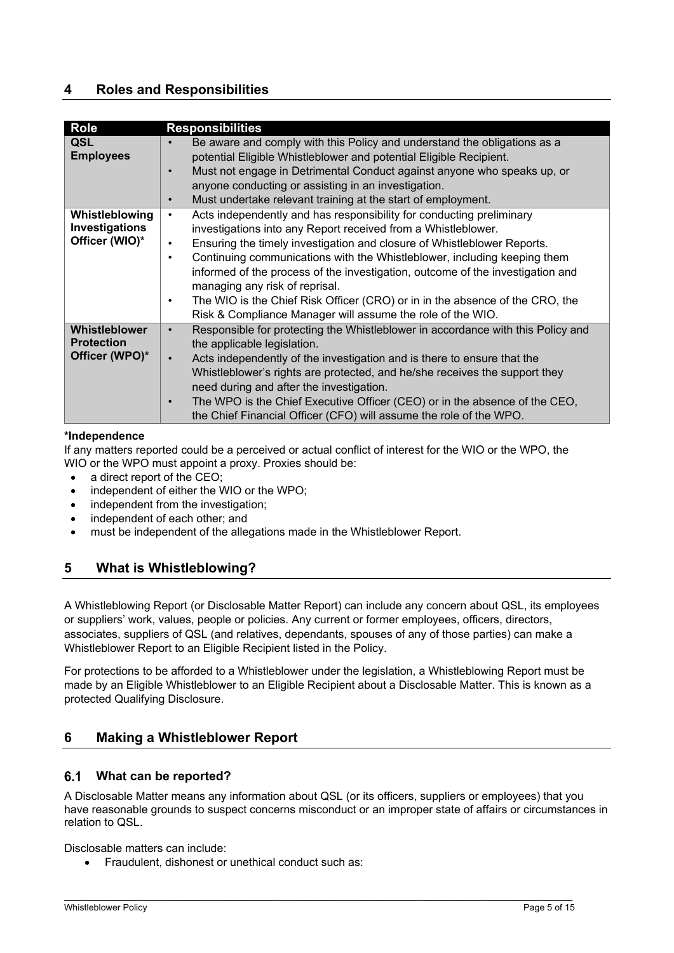## **4 Roles and Responsibilities**

| <b>Role</b>       | <b>Responsibilities</b>                                                                   |
|-------------------|-------------------------------------------------------------------------------------------|
| QSL               | Be aware and comply with this Policy and understand the obligations as a                  |
| <b>Employees</b>  | potential Eligible Whistleblower and potential Eligible Recipient.                        |
|                   | Must not engage in Detrimental Conduct against anyone who speaks up, or                   |
|                   | anyone conducting or assisting in an investigation.                                       |
|                   | Must undertake relevant training at the start of employment.<br>$\bullet$                 |
| Whistleblowing    | Acts independently and has responsibility for conducting preliminary<br>$\bullet$         |
| Investigations    | investigations into any Report received from a Whistleblower.                             |
| Officer (WIO)*    | Ensuring the timely investigation and closure of Whistleblower Reports.<br>$\bullet$      |
|                   | Continuing communications with the Whistleblower, including keeping them<br>$\bullet$     |
|                   | informed of the process of the investigation, outcome of the investigation and            |
|                   | managing any risk of reprisal.                                                            |
|                   | The WIO is the Chief Risk Officer (CRO) or in in the absence of the CRO, the<br>$\bullet$ |
|                   | Risk & Compliance Manager will assume the role of the WIO.                                |
| Whistleblower     | Responsible for protecting the Whistleblower in accordance with this Policy and           |
| <b>Protection</b> | the applicable legislation.                                                               |
| Officer (WPO)*    | Acts independently of the investigation and is there to ensure that the                   |
|                   | Whistleblower's rights are protected, and he/she receives the support they                |
|                   | need during and after the investigation.                                                  |
|                   | The WPO is the Chief Executive Officer (CEO) or in the absence of the CEO,<br>$\bullet$   |
|                   | the Chief Financial Officer (CFO) will assume the role of the WPO.                        |
|                   |                                                                                           |

#### **\*Independence**

 If any matters reported could be a perceived or actual conflict of interest for the WIO or the WPO, the WIO or the WPO must appoint a proxy. Proxies should be:

- a direct report of the CEO;
- independent of either the WIO or the WPO;
- independent from the investigation:
- independent of each other; and
- must be independent of the allegations made in the Whistleblower Report.

# **5 What is Whistleblowing?**

A Whistleblowing Report (or Disclosable Matter Report) can include any concern about QSL, its employees or suppliers' work, values, people or policies. Any current or former employees, officers, directors, associates, suppliers of QSL (and relatives, dependants, spouses of any of those parties) can make a Whistleblower Report to an Eligible Recipient listed in the Policy.

For protections to be afforded to a Whistleblower under the legislation, a Whistleblowing Report must be made by an Eligible Whistleblower to an Eligible Recipient about a Disclosable Matter. This is known as a protected Qualifying Disclosure.

### **6 Making a Whistleblower Report**

#### **What can be reported?**

A Disclosable Matter means any information about QSL (or its officers, suppliers or employees) that you have reasonable grounds to suspect concerns misconduct or an improper state of affairs or circumstances in relation to QSL.

\_\_\_\_\_\_\_\_\_\_\_\_\_\_\_\_\_\_\_\_\_\_\_\_\_\_\_\_\_\_\_\_\_\_\_\_\_\_\_\_\_\_\_\_\_\_\_\_\_\_\_\_\_\_\_\_\_\_\_\_\_\_\_\_\_\_\_\_\_\_\_\_\_\_\_\_\_\_\_\_\_\_\_\_\_\_\_\_\_\_\_\_\_\_\_\_\_\_\_\_\_

Disclosable matters can include:

Fraudulent, dishonest or unethical conduct such as: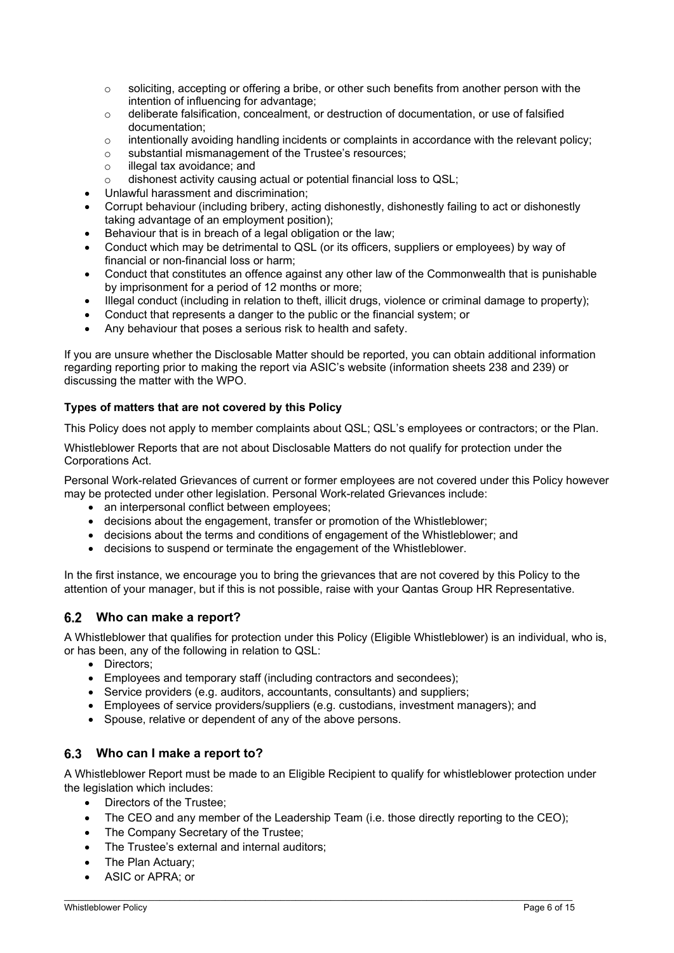- $\circ$  soliciting, accepting or offering a bribe, or other such benefits from another person with the intention of influencing for advantage;
- o deliberate falsification, concealment, or destruction of documentation, or use of falsified documentation;
- $\circ$  intentionally avoiding handling incidents or complaints in accordance with the relevant policy;
- o substantial mismanagement of the Trustee's resources;
- o illegal tax avoidance; and
- o dishonest activity causing actual or potential financial loss to QSL;
- Unlawful harassment and discrimination;
- Corrupt behaviour (including bribery, acting dishonestly, dishonestly failing to act or dishonestly taking advantage of an employment position);
- Behaviour that is in breach of a legal obligation or the law;
- Conduct which may be detrimental to QSL (or its officers, suppliers or employees) by way of financial or non-financial loss or harm;
- Conduct that constitutes an offence against any other law of the Commonwealth that is punishable by imprisonment for a period of 12 months or more;
- Illegal conduct (including in relation to theft, illicit drugs, violence or criminal damage to property);
- Conduct that represents a danger to the public or the financial system; or
- Any behaviour that poses a serious risk to health and safety.

If you are unsure whether the Disclosable Matter should be reported, you can obtain additional information regarding reporting prior to making the report via ASIC's website (information sheets 238 and 239) or discussing the matter with the WPO.

#### **Types of matters that are not covered by this Policy**

This Policy does not apply to member complaints about QSL; QSL's employees or contractors; or the Plan.

Whistleblower Reports that are not about Disclosable Matters do not qualify for protection under the Corporations Act.

Personal Work-related Grievances of current or former employees are not covered under this Policy however may be protected under other legislation. Personal Work-related Grievances include:

- an interpersonal conflict between employees;
- decisions about the engagement, transfer or promotion of the Whistleblower;
- decisions about the terms and conditions of engagement of the Whistleblower; and
- decisions to suspend or terminate the engagement of the Whistleblower.

In the first instance, we encourage you to bring the grievances that are not covered by this Policy to the attention of your manager, but if this is not possible, raise with your Qantas Group HR Representative.

#### **Who can make a report?**

A Whistleblower that qualifies for protection under this Policy (Eligible Whistleblower) is an individual, who is, or has been, any of the following in relation to QSL:

- Directors:
- Employees and temporary staff (including contractors and secondees);
- Service providers (e.g. auditors, accountants, consultants) and suppliers;
- Employees of service providers/suppliers (e.g. custodians, investment managers); and
- Spouse, relative or dependent of any of the above persons.

#### **Who can I make a report to?**

A Whistleblower Report must be made to an Eligible Recipient to qualify for whistleblower protection under the legislation which includes:

- Directors of the Trustee:
- The CEO and any member of the Leadership Team (i.e. those directly reporting to the CEO);

- The Company Secretary of the Trustee;
- The Trustee's external and internal auditors;
- The Plan Actuary;
- ASIC or APRA; or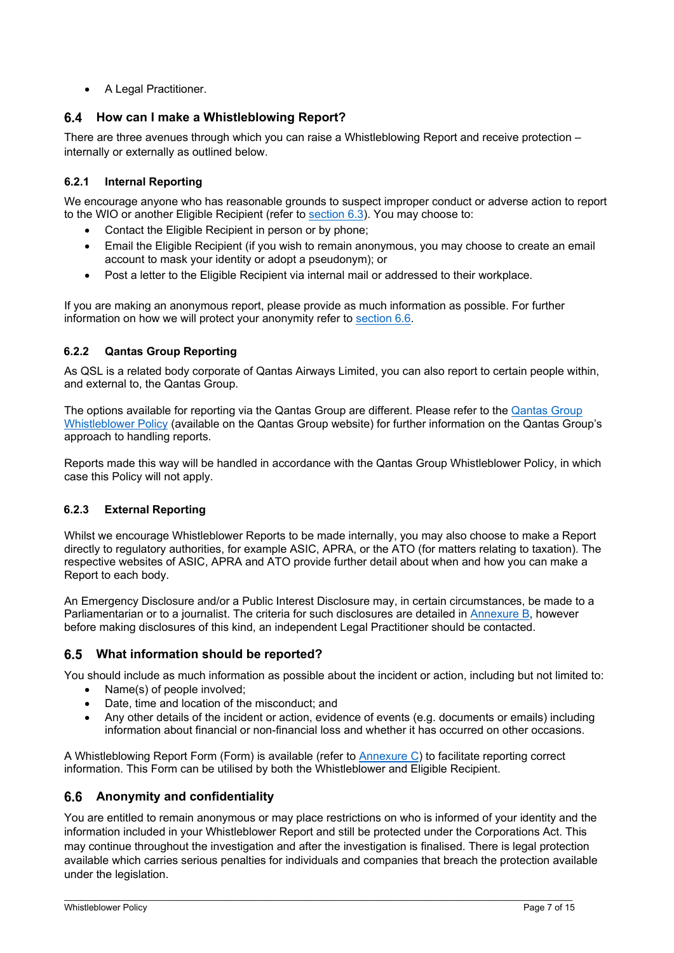• A Legal Practitioner.

#### **How can I make a Whistleblowing Report?**

There are three avenues through which you can raise a Whistleblowing Report and receive protection – internally or externally as outlined below.

#### **6.2.1 Internal Reporting**

We encourage anyone who has reasonable grounds to suspect improper conduct or adverse action to report to the WIO or another Eligible Recipient (refer to section 6.3). You may choose to:

- Contact the Eligible Recipient in person or by phone;
- Email the Eligible Recipient (if you wish to remain anonymous, you may choose to create an email account to mask your identity or adopt a pseudonym); or
- Post a letter to the Eligible Recipient via internal mail or addressed to their workplace.

If you are making an anonymous report, please provide as much information as possible. For further information on how we will protect your anonymity refer to section 6.6.

#### **6.2.2 Qantas Group Reporting**

As QSL is a related body corporate of Qantas Airways Limited, you can also report to certain people within, and external to, the Qantas Group.

The options available for reporting via the Qantas Group are different. Please refer to the Qantas Group Whistleblower Policy (available on the Qantas Group website) for further information on the Qantas Group's approach to handling reports.

Reports made this way will be handled in accordance with the Qantas Group Whistleblower Policy, in which case this Policy will not apply.

#### **6.2.3 External Reporting**

Whilst we encourage Whistleblower Reports to be made internally, you may also choose to make a Report directly to regulatory authorities, for example ASIC, APRA, or the ATO (for matters relating to taxation). The respective websites of ASIC, APRA and ATO provide further detail about when and how you can make a Report to each body.

An Emergency Disclosure and/or a Public Interest Disclosure may, in certain circumstances, be made to a Parliamentarian or to a journalist. The criteria for such disclosures are detailed in Annexure B, however before making disclosures of this kind, an independent Legal Practitioner should be contacted.

#### **What information should be reported?**

You should include as much information as possible about the incident or action, including but not limited to:

- Name(s) of people involved:
- Date, time and location of the misconduct; and
- Any other details of the incident or action, evidence of events (e.g. documents or emails) including information about financial or non-financial loss and whether it has occurred on other occasions.

A Whistleblowing Report Form (Form) is available (refer to Annexure C) to facilitate reporting correct information. This Form can be utilised by both the Whistleblower and Eligible Recipient.

#### **Anonymity and confidentiality**

You are entitled to remain anonymous or may place restrictions on who is informed of your identity and the information included in your Whistleblower Report and still be protected under the Corporations Act. This may continue throughout the investigation and after the investigation is finalised. There is legal protection available which carries serious penalties for individuals and companies that breach the protection available under the legislation.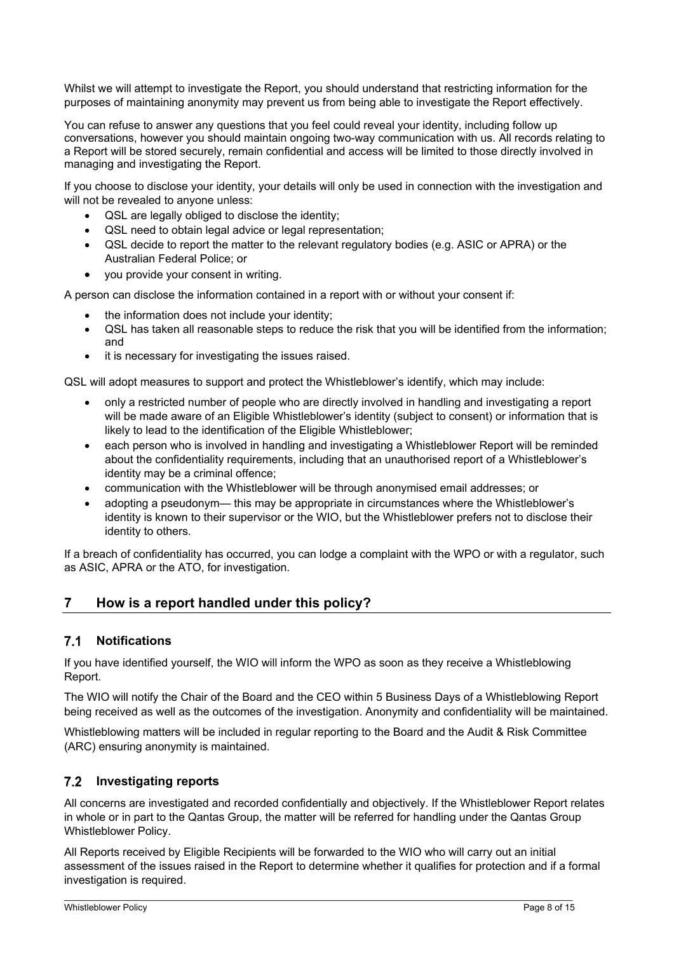Whilst we will attempt to investigate the Report, you should understand that restricting information for the purposes of maintaining anonymity may prevent us from being able to investigate the Report effectively.

You can refuse to answer any questions that you feel could reveal your identity, including follow up conversations, however you should maintain ongoing two-way communication with us. All records relating to a Report will be stored securely, remain confidential and access will be limited to those directly involved in managing and investigating the Report.

If you choose to disclose your identity, your details will only be used in connection with the investigation and will not be revealed to anyone unless:

- QSL are legally obliged to disclose the identity;
- QSL need to obtain legal advice or legal representation;
- QSL decide to report the matter to the relevant regulatory bodies (e.g. ASIC or APRA) or the Australian Federal Police; or
- you provide your consent in writing.

A person can disclose the information contained in a report with or without your consent if:

- the information does not include your identity;
- QSL has taken all reasonable steps to reduce the risk that you will be identified from the information; and
- it is necessary for investigating the issues raised.

QSL will adopt measures to support and protect the Whistleblower's identify, which may include:

- only a restricted number of people who are directly involved in handling and investigating a report will be made aware of an Eligible Whistleblower's identity (subject to consent) or information that is likely to lead to the identification of the Eligible Whistleblower;
- each person who is involved in handling and investigating a Whistleblower Report will be reminded about the confidentiality requirements, including that an unauthorised report of a Whistleblower's identity may be a criminal offence;
- communication with the Whistleblower will be through anonymised email addresses; or
- adopting a pseudonym— this may be appropriate in circumstances where the Whistleblower's identity is known to their supervisor or the WIO, but the Whistleblower prefers not to disclose their identity to others.

If a breach of confidentiality has occurred, you can lodge a complaint with the WPO or with a regulator, such as ASIC, APRA or the ATO, for investigation.

### **7 How is a report handled under this policy?**

#### **Notifications**

If you have identified yourself, the WIO will inform the WPO as soon as they receive a Whistleblowing Report.

The WIO will notify the Chair of the Board and the CEO within 5 Business Days of a Whistleblowing Report being received as well as the outcomes of the investigation. Anonymity and confidentiality will be maintained.

Whistleblowing matters will be included in regular reporting to the Board and the Audit & Risk Committee (ARC) ensuring anonymity is maintained.

#### **Investigating reports**

All concerns are investigated and recorded confidentially and objectively. If the Whistleblower Report relates in whole or in part to the Qantas Group, the matter will be referred for handling under the Qantas Group Whistleblower Policy.

All Reports received by Eligible Recipients will be forwarded to the WIO who will carry out an initial assessment of the issues raised in the Report to determine whether it qualifies for protection and if a formal investigation is required.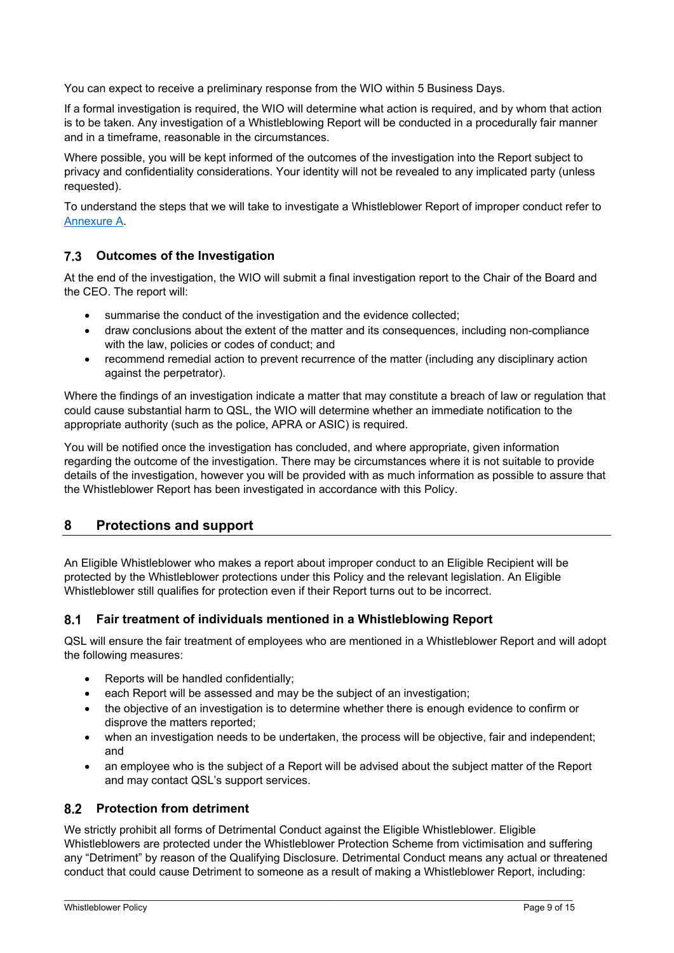You can expect to receive a preliminary response from the WIO within 5 Business Days.

If a formal investigation is required, the WIO will determine what action is required, and by whom that action is to be taken. Any investigation of a Whistleblowing Report will be conducted in a procedurally fair manner and in a timeframe, reasonable in the circumstances.

Where possible, you will be kept informed of the outcomes of the investigation into the Report subject to privacy and confidentiality considerations. Your identity will not be revealed to any implicated party (unless requested).

To understand the steps that we will take to investigate a Whistleblower Report of improper conduct refer to Annexure A.

#### **Outcomes of the Investigation**

At the end of the investigation, the WIO will submit a final investigation report to the Chair of the Board and the CEO. The report will:

- summarise the conduct of the investigation and the evidence collected;
- draw conclusions about the extent of the matter and its consequences, including non-compliance with the law, policies or codes of conduct; and
- recommend remedial action to prevent recurrence of the matter (including any disciplinary action against the perpetrator).

Where the findings of an investigation indicate a matter that may constitute a breach of law or regulation that could cause substantial harm to QSL, the WIO will determine whether an immediate notification to the appropriate authority (such as the police, APRA or ASIC) is required.

You will be notified once the investigation has concluded, and where appropriate, given information regarding the outcome of the investigation. There may be circumstances where it is not suitable to provide details of the investigation, however you will be provided with as much information as possible to assure that the Whistleblower Report has been investigated in accordance with this Policy.

#### **8 Protections and support**

An Eligible Whistleblower who makes a report about improper conduct to an Eligible Recipient will be protected by the Whistleblower protections under this Policy and the relevant legislation. An Eligible Whistleblower still qualifies for protection even if their Report turns out to be incorrect.

#### **Fair treatment of individuals mentioned in a Whistleblowing Report**

QSL will ensure the fair treatment of employees who are mentioned in a Whistleblower Report and will adopt the following measures:

- Reports will be handled confidentially;
- each Report will be assessed and may be the subject of an investigation;
- the objective of an investigation is to determine whether there is enough evidence to confirm or disprove the matters reported;
- when an investigation needs to be undertaken, the process will be objective, fair and independent; and
- an employee who is the subject of a Report will be advised about the subject matter of the Report and may contact QSL's support services.

#### **8.2 Protection from detriment**

We strictly prohibit all forms of Detrimental Conduct against the Eligible Whistleblower. Eligible Whistleblowers are protected under the Whistleblower Protection Scheme from victimisation and suffering any "Detriment" by reason of the Qualifying Disclosure. Detrimental Conduct means any actual or threatened conduct that could cause Detriment to someone as a result of making a Whistleblower Report, including: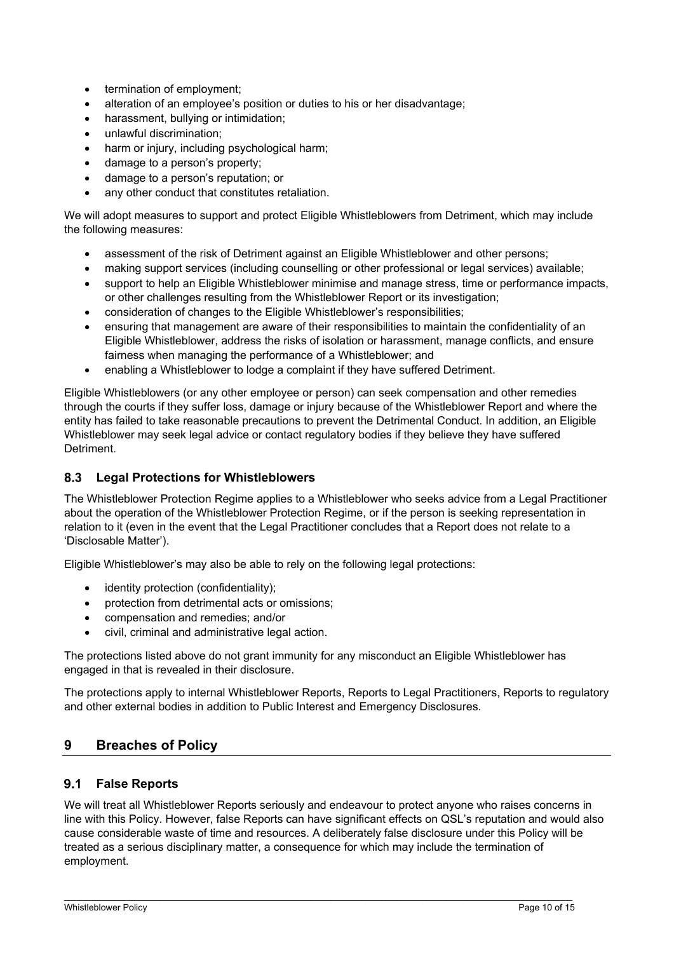- termination of employment;
- alteration of an employee's position or duties to his or her disadvantage;
- harassment, bullying or intimidation;
- unlawful discrimination;
- harm or injury, including psychological harm;
- damage to a person's property;
- damage to a person's reputation; or
- any other conduct that constitutes retaliation.

We will adopt measures to support and protect Eligible Whistleblowers from Detriment, which may include the following measures:

- assessment of the risk of Detriment against an Eligible Whistleblower and other persons;
- making support services (including counselling or other professional or legal services) available;
- support to help an Eligible Whistleblower minimise and manage stress, time or performance impacts, or other challenges resulting from the Whistleblower Report or its investigation;
- consideration of changes to the Eligible Whistleblower's responsibilities;
- ensuring that management are aware of their responsibilities to maintain the confidentiality of an Eligible Whistleblower, address the risks of isolation or harassment, manage conflicts, and ensure fairness when managing the performance of a Whistleblower; and
- enabling a Whistleblower to lodge a complaint if they have suffered Detriment.

Eligible Whistleblowers (or any other employee or person) can seek compensation and other remedies through the courts if they suffer loss, damage or injury because of the Whistleblower Report and where the entity has failed to take reasonable precautions to prevent the Detrimental Conduct. In addition, an Eligible Whistleblower may seek legal advice or contact regulatory bodies if they believe they have suffered **Detriment** 

#### **Legal Protections for Whistleblowers**

The Whistleblower Protection Regime applies to a Whistleblower who seeks advice from a Legal Practitioner about the operation of the Whistleblower Protection Regime, or if the person is seeking representation in relation to it (even in the event that the Legal Practitioner concludes that a Report does not relate to a 'Disclosable Matter').

Eligible Whistleblower's may also be able to rely on the following legal protections:

- identity protection (confidentiality);
- protection from detrimental acts or omissions;
- compensation and remedies; and/or
- civil, criminal and administrative legal action.

The protections listed above do not grant immunity for any misconduct an Eligible Whistleblower has engaged in that is revealed in their disclosure.

The protections apply to internal Whistleblower Reports, Reports to Legal Practitioners, Reports to regulatory and other external bodies in addition to Public Interest and Emergency Disclosures.

#### **9 Breaches of Policy**

#### **False Reports**

We will treat all Whistleblower Reports seriously and endeavour to protect anyone who raises concerns in line with this Policy. However, false Reports can have significant effects on QSL's reputation and would also cause considerable waste of time and resources. A deliberately false disclosure under this Policy will be treated as a serious disciplinary matter, a consequence for which may include the termination of employment.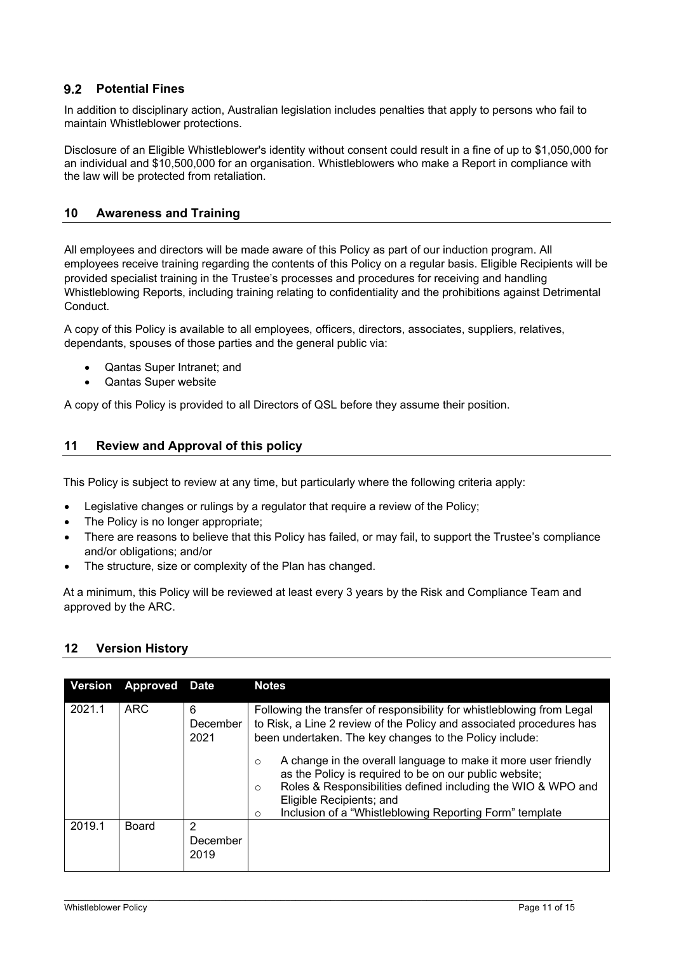#### **Potential Fines**

In addition to disciplinary action, Australian legislation includes penalties that apply to persons who fail to maintain Whistleblower protections.

Disclosure of an Eligible Whistleblower's identity without consent could result in a fine of up to \$1,050,000 for an individual and \$10,500,000 for an organisation. Whistleblowers who make a Report in compliance with the law will be protected from retaliation.

#### **10 Awareness and Training**

All employees and directors will be made aware of this Policy as part of our induction program. All employees receive training regarding the contents of this Policy on a regular basis. Eligible Recipients will be provided specialist training in the Trustee's processes and procedures for receiving and handling Whistleblowing Reports, including training relating to confidentiality and the prohibitions against Detrimental Conduct.

A copy of this Policy is available to all employees, officers, directors, associates, suppliers, relatives, dependants, spouses of those parties and the general public via:

- Qantas Super Intranet; and
- Qantas Super website

A copy of this Policy is provided to all Directors of QSL before they assume their position.

#### **11 Review and Approval of this policy**

This Policy is subject to review at any time, but particularly where the following criteria apply:

- Legislative changes or rulings by a regulator that require a review of the Policy;
- The Policy is no longer appropriate;
- There are reasons to believe that this Policy has failed, or may fail, to support the Trustee's compliance and/or obligations; and/or
- The structure, size or complexity of the Plan has changed.

At a minimum, this Policy will be reviewed at least every 3 years by the Risk and Compliance Team and approved by the ARC.

#### **12 Version History**

| <b>Version</b> | <b>Approved Date</b> |                       | <b>Notes</b>                                                                                                                                                                                                                                                                           |
|----------------|----------------------|-----------------------|----------------------------------------------------------------------------------------------------------------------------------------------------------------------------------------------------------------------------------------------------------------------------------------|
| 2021.1         | <b>ARC</b>           | 6<br>December<br>2021 | Following the transfer of responsibility for whistleblowing from Legal<br>to Risk, a Line 2 review of the Policy and associated procedures has<br>been undertaken. The key changes to the Policy include:<br>A change in the overall language to make it more user friendly<br>$\circ$ |
|                |                      |                       | as the Policy is required to be on our public website;<br>Roles & Responsibilities defined including the WIO & WPO and<br>$\circ$<br>Eligible Recipients; and<br>Inclusion of a "Whistleblowing Reporting Form" template<br>$\circ$                                                    |
| 2019.1         | Board                | 2<br>December<br>2019 |                                                                                                                                                                                                                                                                                        |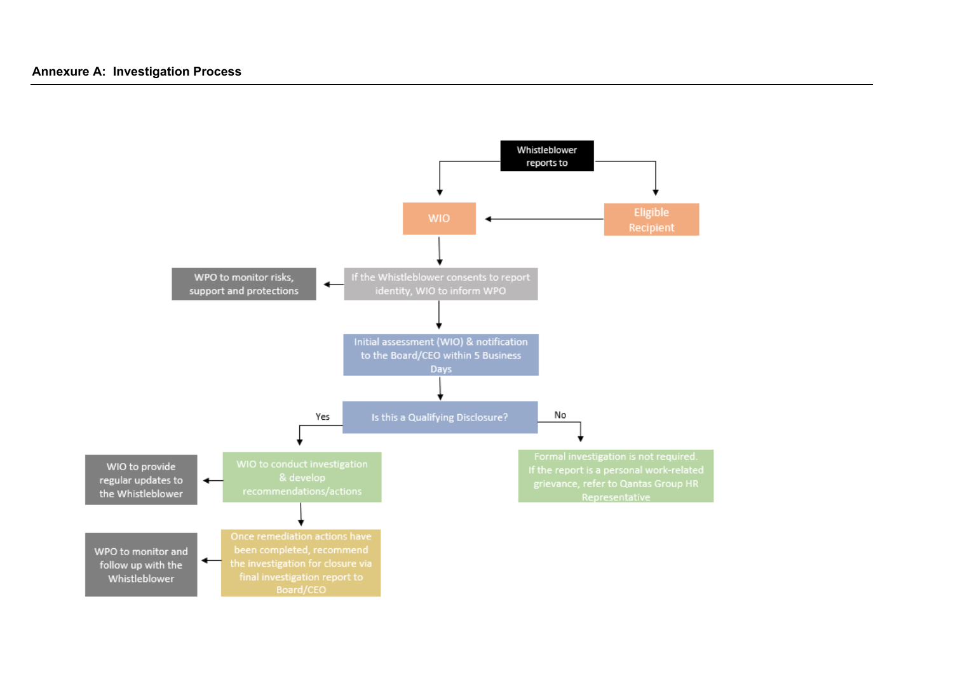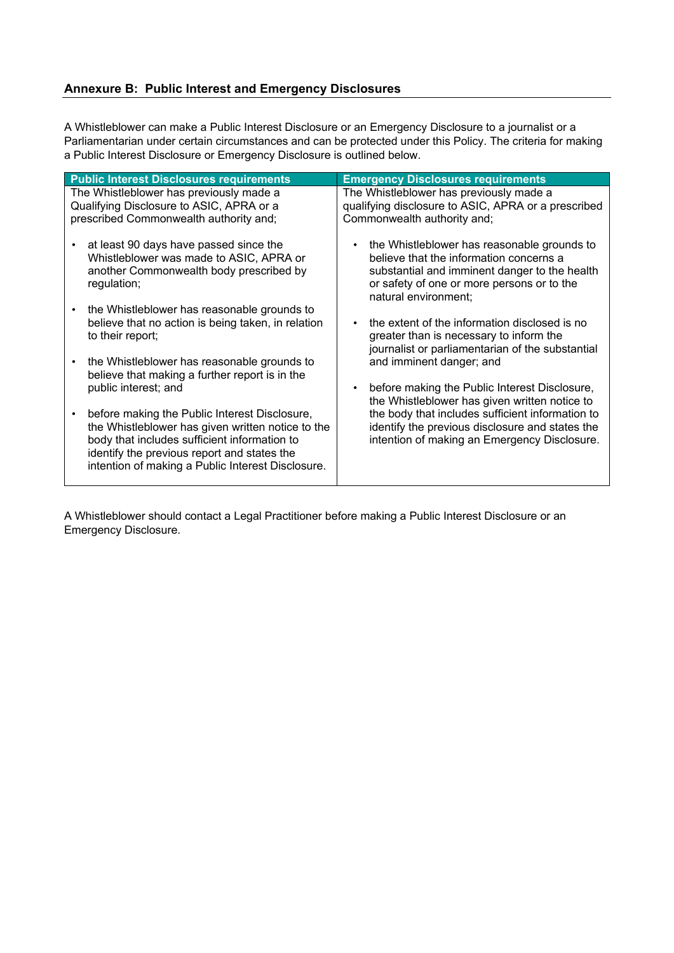#### **Annexure B: Public Interest and Emergency Disclosures**

A Whistleblower can make a Public Interest Disclosure or an Emergency Disclosure to a journalist or a Parliamentarian under certain circumstances and can be protected under this Policy. The criteria for making a Public Interest Disclosure or Emergency Disclosure is outlined below.

| <b>Public Interest Disclosures requirements</b>                                                                                                                                                                                                        | <b>Emergency Disclosures requirements</b>                                                                                                                                                                     |
|--------------------------------------------------------------------------------------------------------------------------------------------------------------------------------------------------------------------------------------------------------|---------------------------------------------------------------------------------------------------------------------------------------------------------------------------------------------------------------|
| The Whistleblower has previously made a                                                                                                                                                                                                                | The Whistleblower has previously made a                                                                                                                                                                       |
| Qualifying Disclosure to ASIC, APRA or a                                                                                                                                                                                                               | qualifying disclosure to ASIC, APRA or a prescribed                                                                                                                                                           |
| prescribed Commonwealth authority and;                                                                                                                                                                                                                 | Commonwealth authority and;                                                                                                                                                                                   |
| at least 90 days have passed since the<br>Whistleblower was made to ASIC, APRA or<br>another Commonwealth body prescribed by<br>regulation;                                                                                                            | the Whistleblower has reasonable grounds to<br>believe that the information concerns a<br>substantial and imminent danger to the health<br>or safety of one or more persons or to the<br>natural environment; |
| the Whistleblower has reasonable grounds to                                                                                                                                                                                                            | the extent of the information disclosed is no                                                                                                                                                                 |
| believe that no action is being taken, in relation                                                                                                                                                                                                     | greater than is necessary to inform the                                                                                                                                                                       |
| to their report;                                                                                                                                                                                                                                       | journalist or parliamentarian of the substantial                                                                                                                                                              |
| the Whistleblower has reasonable grounds to                                                                                                                                                                                                            | and imminent danger; and                                                                                                                                                                                      |
| believe that making a further report is in the                                                                                                                                                                                                         | before making the Public Interest Disclosure,                                                                                                                                                                 |
| public interest; and                                                                                                                                                                                                                                   | the Whistleblower has given written notice to                                                                                                                                                                 |
| before making the Public Interest Disclosure,<br>the Whistleblower has given written notice to the<br>body that includes sufficient information to<br>identify the previous report and states the<br>intention of making a Public Interest Disclosure. | the body that includes sufficient information to<br>identify the previous disclosure and states the<br>intention of making an Emergency Disclosure.                                                           |

A Whistleblower should contact a Legal Practitioner before making a Public Interest Disclosure or an Emergency Disclosure.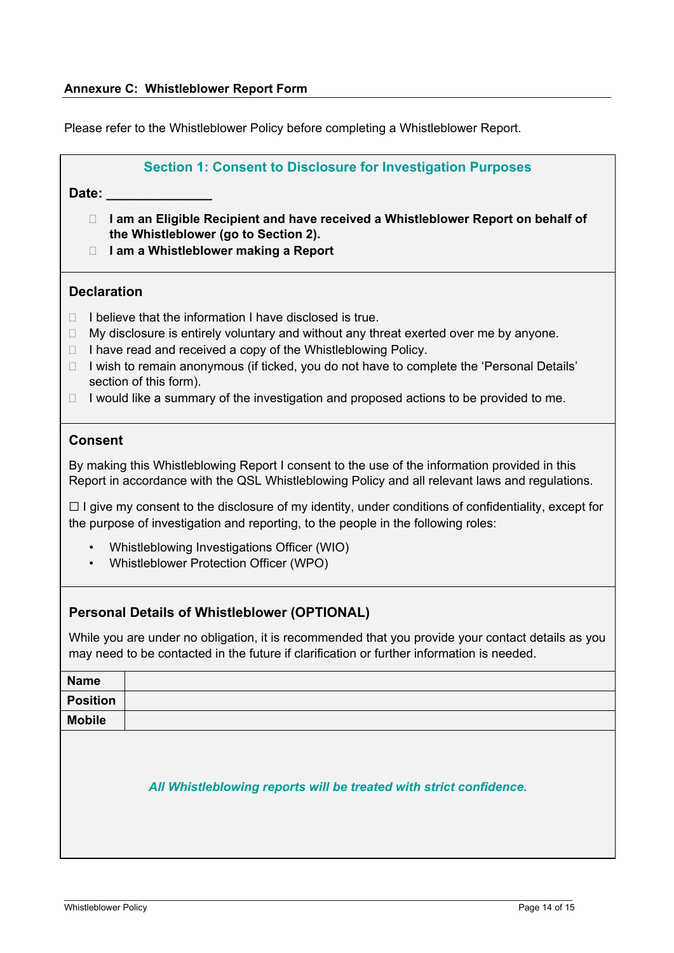Please refer to the Whistleblower Policy before completing a Whistleblower Report.

|                                                                                                                                                                                                                                                                                                                                                                                                                                                                        | <b>Section 1: Consent to Disclosure for Investigation Purposes</b>                                                                                                                              |  |  |  |  |
|------------------------------------------------------------------------------------------------------------------------------------------------------------------------------------------------------------------------------------------------------------------------------------------------------------------------------------------------------------------------------------------------------------------------------------------------------------------------|-------------------------------------------------------------------------------------------------------------------------------------------------------------------------------------------------|--|--|--|--|
| Date:                                                                                                                                                                                                                                                                                                                                                                                                                                                                  |                                                                                                                                                                                                 |  |  |  |  |
| $\Box$<br>$\Box$                                                                                                                                                                                                                                                                                                                                                                                                                                                       | I am an Eligible Recipient and have received a Whistleblower Report on behalf of<br>the Whistleblower (go to Section 2).<br>I am a Whistleblower making a Report                                |  |  |  |  |
|                                                                                                                                                                                                                                                                                                                                                                                                                                                                        | <b>Declaration</b>                                                                                                                                                                              |  |  |  |  |
| I believe that the information I have disclosed is true.<br>Ш<br>My disclosure is entirely voluntary and without any threat exerted over me by anyone.<br>□<br>I have read and received a copy of the Whistleblowing Policy.<br>$\Box$<br>I wish to remain anonymous (if ticked, you do not have to complete the 'Personal Details'<br>$\Box$<br>section of this form).<br>I would like a summary of the investigation and proposed actions to be provided to me.<br>□ |                                                                                                                                                                                                 |  |  |  |  |
| <b>Consent</b>                                                                                                                                                                                                                                                                                                                                                                                                                                                         |                                                                                                                                                                                                 |  |  |  |  |
|                                                                                                                                                                                                                                                                                                                                                                                                                                                                        | By making this Whistleblowing Report I consent to the use of the information provided in this<br>Report in accordance with the QSL Whistleblowing Policy and all relevant laws and regulations. |  |  |  |  |
|                                                                                                                                                                                                                                                                                                                                                                                                                                                                        | $\Box$ I give my consent to the disclosure of my identity, under conditions of confidentiality, except for<br>the purpose of investigation and reporting, to the people in the following roles: |  |  |  |  |
| $\bullet$<br>$\bullet$                                                                                                                                                                                                                                                                                                                                                                                                                                                 | Whistleblowing Investigations Officer (WIO)<br>Whistleblower Protection Officer (WPO)                                                                                                           |  |  |  |  |
|                                                                                                                                                                                                                                                                                                                                                                                                                                                                        | <b>Personal Details of Whistleblower (OPTIONAL)</b>                                                                                                                                             |  |  |  |  |
|                                                                                                                                                                                                                                                                                                                                                                                                                                                                        | While you are under no obligation, it is recommended that you provide your contact details as you<br>may need to be contacted in the future if clarification or further information is needed   |  |  |  |  |
| <b>Name</b>                                                                                                                                                                                                                                                                                                                                                                                                                                                            |                                                                                                                                                                                                 |  |  |  |  |
| <b>Position</b>                                                                                                                                                                                                                                                                                                                                                                                                                                                        |                                                                                                                                                                                                 |  |  |  |  |
| <b>Mobile</b>                                                                                                                                                                                                                                                                                                                                                                                                                                                          |                                                                                                                                                                                                 |  |  |  |  |
|                                                                                                                                                                                                                                                                                                                                                                                                                                                                        | All Whistleblowing reports will be treated with strict confidence.                                                                                                                              |  |  |  |  |